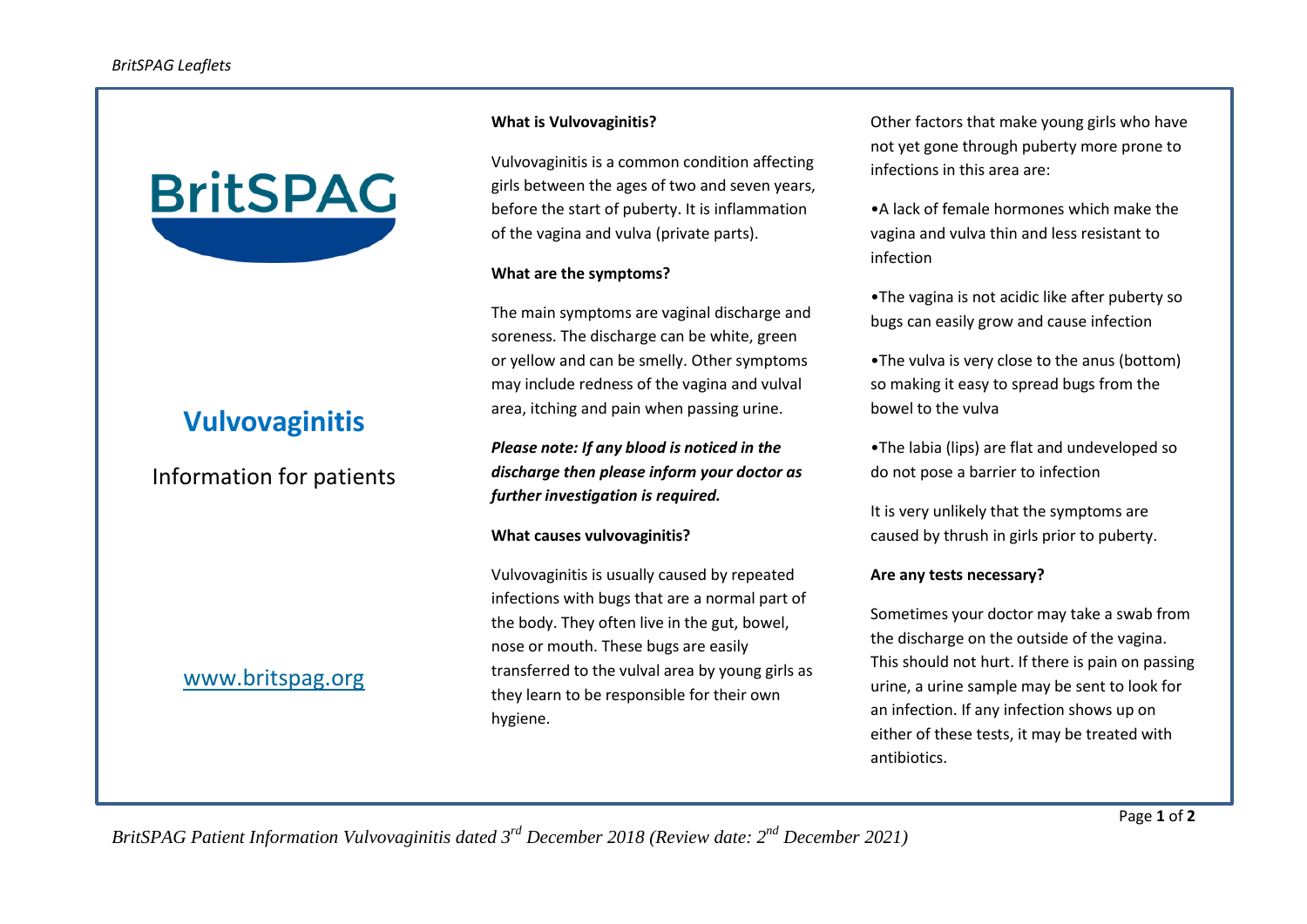

# **Vulvovaginitis**

Information for patients

## [www.britspag.org](http://www.britspag.org/)

#### **What is Vulvovaginitis?**

Vulvovaginitis is a common condition affecting girls between the ages of two and seven years, before the start of puberty. It is inflammation of the vagina and vulva (private parts).

#### **What are the symptoms?**

The main symptoms are vaginal discharge and soreness. The discharge can be white, green or yellow and can be smelly. Other symptoms may include redness of the vagina and vulval area, itching and pain when passing urine.

*Please note: If any blood is noticed in the discharge then please inform your doctor as further investigation is required.*

#### **What causes vulvovaginitis?**

Vulvovaginitis is usually caused by repeated infections with bugs that are a normal part of the body. They often live in the gut, bowel, nose or mouth. These bugs are easily transferred to the vulval area by young girls as they learn to be responsible for their own hygiene.

Other factors that make young girls who have not yet gone through puberty more prone to infections in this area are:

•A lack of female hormones which make the vagina and vulva thin and less resistant to infection

•The vagina is not acidic like after puberty so bugs can easily grow and cause infection

•The vulva is very close to the anus (bottom) so making it easy to spread bugs from the bowel to the vulva

•The labia (lips) are flat and undeveloped so do not pose a barrier to infection

It is very unlikely that the symptoms are caused by thrush in girls prior to puberty.

### **Are any tests necessary?**

Sometimes your doctor may take a swab from the discharge on the outside of the vagina. This should not hurt. If there is pain on passing urine, a urine sample may be sent to look for an infection. If any infection shows up on either of these tests, it may be treated with antibiotics.

*BritSPAG Patient Information Vulvovaginitis dated 3rd December 2018 (Review date: 2nd December 2021)*